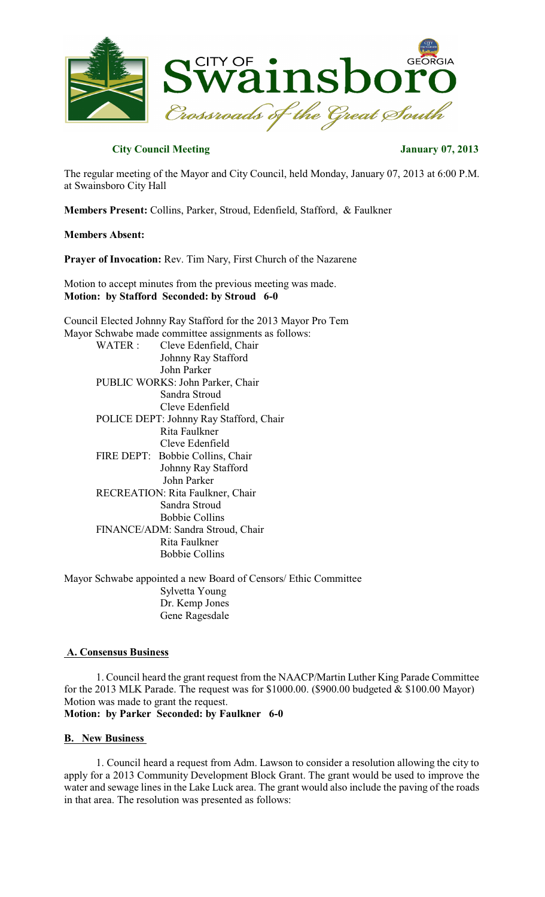

## **City Council Meeting**  January 07, 2013

The regular meeting of the Mayor and City Council, held Monday, January 07, 2013 at 6:00 P.M. at Swainsboro City Hall

**Members Present:** Collins, Parker, Stroud, Edenfield, Stafford, & Faulkner

#### **Members Absent:**

**Prayer of Invocation:** Rev. Tim Nary, First Church of the Nazarene

Motion to accept minutes from the previous meeting was made. **Motion: by Stafford Seconded: by Stroud 6-0**

Council Elected Johnny Ray Stafford for the 2013 Mayor Pro Tem Mayor Schwabe made committee assignments as follows: WATER : Cleve Edenfield, Chair Johnny Ray Stafford John Parker PUBLIC WORKS: John Parker, Chair Sandra Stroud Cleve Edenfield POLICE DEPT: Johnny Ray Stafford, Chair Rita Faulkner Cleve Edenfield FIRE DEPT: Bobbie Collins, Chair Johnny Ray Stafford John Parker RECREATION: Rita Faulkner, Chair Sandra Stroud Bobbie Collins FINANCE/ADM: Sandra Stroud, Chair Rita Faulkner Bobbie Collins

Mayor Schwabe appointed a new Board of Censors/ Ethic Committee Sylvetta Young Dr. Kemp Jones Gene Ragesdale

#### **A. Consensus Business**

1. Council heard the grant request from the NAACP/Martin Luther King Parade Committee for the 2013 MLK Parade. The request was for \$1000.00. (\$900.00 budgeted & \$100.00 Mayor) Motion was made to grant the request. **Motion: by Parker Seconded: by Faulkner 6-0**

#### **B. New Business**

1. Council heard a request from Adm. Lawson to consider a resolution allowing the city to apply for a 2013 Community Development Block Grant. The grant would be used to improve the water and sewage lines in the Lake Luck area. The grant would also include the paving of the roads in that area. The resolution was presented as follows: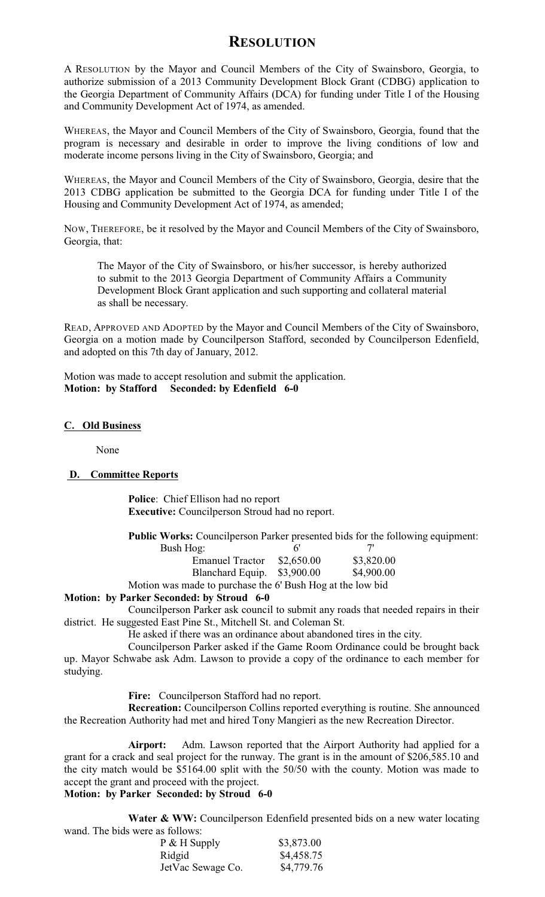# **RESOLUTION**

A RESOLUTION by the Mayor and Council Members of the City of Swainsboro, Georgia, to authorize submission of a 2013 Community Development Block Grant (CDBG) application to the Georgia Department of Community Affairs (DCA) for funding under Title I of the Housing and Community Development Act of 1974, as amended.

WHEREAS, the Mayor and Council Members of the City of Swainsboro, Georgia, found that the program is necessary and desirable in order to improve the living conditions of low and moderate income persons living in the City of Swainsboro, Georgia; and

WHEREAS, the Mayor and Council Members of the City of Swainsboro, Georgia, desire that the 2013 CDBG application be submitted to the Georgia DCA for funding under Title I of the Housing and Community Development Act of 1974, as amended;

NOW, THEREFORE, be it resolved by the Mayor and Council Members of the City of Swainsboro, Georgia, that:

The Mayor of the City of Swainsboro, or his/her successor, is hereby authorized to submit to the 2013 Georgia Department of Community Affairs a Community Development Block Grant application and such supporting and collateral material as shall be necessary.

READ, APPROVED AND ADOPTED by the Mayor and Council Members of the City of Swainsboro, Georgia on a motion made by Councilperson Stafford, seconded by Councilperson Edenfield, and adopted on this 7th day of January, 2012.

Motion was made to accept resolution and submit the application. **Motion: by Stafford Seconded: by Edenfield 6-0**

## **C. Old Business**

None

## **D. Committee Reports**

**Police**: Chief Ellison had no report **Executive:** Councilperson Stroud had no report.

**Public Works:** Councilperson Parker presented bids for the following equipment:

| Bush Hog:                                                  | 6'         |            |
|------------------------------------------------------------|------------|------------|
| <b>Emanuel Tractor</b>                                     | \$2,650.00 | \$3,820.00 |
| Blanchard Equip. \$3,900.00                                |            | \$4,900.00 |
| Motion was made to purchase the 6' Bush Hog at the low bid |            |            |

## **Motion: by Parker Seconded: by Stroud 6-0**

Councilperson Parker ask council to submit any roads that needed repairs in their district. He suggested East Pine St., Mitchell St. and Coleman St.

He asked if there was an ordinance about abandoned tires in the city.

Councilperson Parker asked if the Game Room Ordinance could be brought back up. Mayor Schwabe ask Adm. Lawson to provide a copy of the ordinance to each member for studying.

**Fire:** Councilperson Stafford had no report.

**Recreation:** Councilperson Collins reported everything is routine. She announced the Recreation Authority had met and hired Tony Mangieri as the new Recreation Director.

**Airport:** Adm. Lawson reported that the Airport Authority had applied for a grant for a crack and seal project for the runway. The grant is in the amount of \$206,585.10 and the city match would be \$5164.00 split with the 50/50 with the county. Motion was made to accept the grant and proceed with the project.

## **Motion: by Parker Seconded: by Stroud 6-0**

**Water & WW:** Councilperson Edenfield presented bids on a new water locating wand. The bids were as follows:

| P & H Supply      | \$3,873.00 |
|-------------------|------------|
| Ridgid            | \$4,458.75 |
| JetVac Sewage Co. | \$4,779.76 |